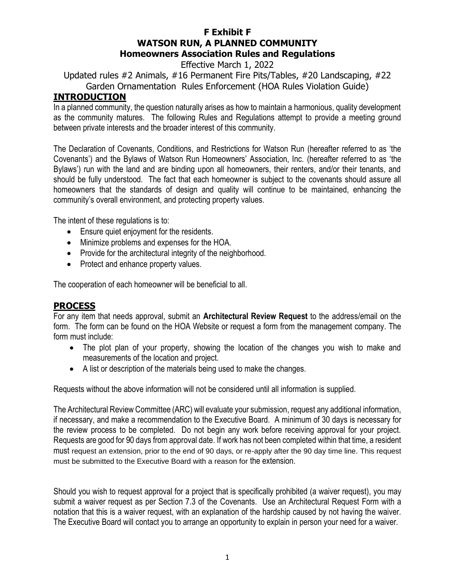### **F Exhibit F WATSON RUN, A PLANNED COMMUNITY Homeowners Association Rules and Regulations**

Effective March 1, 2022

Updated rules #2 Animals, #16 Permanent Fire Pits/Tables, #20 Landscaping, #22 Garden Ornamentation Rules Enforcement (HOA Rules Violation Guide)

### **INTRODUCTION**

In a planned community, the question naturally arises as how to maintain a harmonious, quality development as the community matures. The following Rules and Regulations attempt to provide a meeting ground between private interests and the broader interest of this community.

The Declaration of Covenants, Conditions, and Restrictions for Watson Run (hereafter referred to as 'the Covenants') and the Bylaws of Watson Run Homeowners' Association, Inc. (hereafter referred to as 'the Bylaws') run with the land and are binding upon all homeowners, their renters, and/or their tenants, and should be fully understood. The fact that each homeowner is subject to the covenants should assure all homeowners that the standards of design and quality will continue to be maintained, enhancing the community's overall environment, and protecting property values.

The intent of these regulations is to:

- Ensure quiet enjoyment for the residents.
- Minimize problems and expenses for the HOA.
- Provide for the architectural integrity of the neighborhood.
- Protect and enhance property values.

The cooperation of each homeowner will be beneficial to all.

#### **PROCESS**

For any item that needs approval, submit an **Architectural Review Request** to the address/email on the form. The form can be found on the HOA Website or request a form from the management company. The form must include:

- The plot plan of your property, showing the location of the changes you wish to make and measurements of the location and project.
- A list or description of the materials being used to make the changes.

Requests without the above information will not be considered until all information is supplied.

The Architectural Review Committee (ARC) will evaluate your submission, request any additional information, if necessary, and make a recommendation to the Executive Board. A minimum of 30 days is necessary for the review process to be completed. Do not begin any work before receiving approval for your project. Requests are good for 90 days from approval date. If work has not been completed within that time, a resident must request an extension, prior to the end of 90 days, or re-apply after the 90 day time line. This request must be submitted to the Executive Board with a reason for the extension.

Should you wish to request approval for a project that is specifically prohibited (a waiver request), you may submit a waiver request as per Section 7.3 of the Covenants. Use an Architectural Request Form with a notation that this is a waiver request, with an explanation of the hardship caused by not having the waiver. The Executive Board will contact you to arrange an opportunity to explain in person your need for a waiver.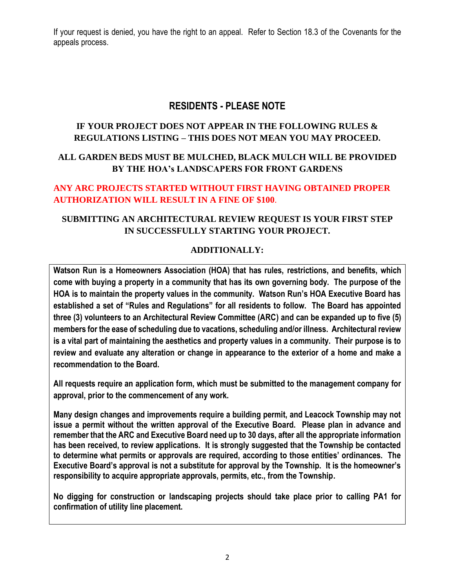If your request is denied, you have the right to an appeal. Refer to Section 18.3 of the Covenants for the appeals process.

# **RESIDENTS - PLEASE NOTE**

### **IF YOUR PROJECT DOES NOT APPEAR IN THE FOLLOWING RULES & REGULATIONS LISTING – THIS DOES NOT MEAN YOU MAY PROCEED.**

## **ALL GARDEN BEDS MUST BE MULCHED, BLACK MULCH WILL BE PROVIDED BY THE HOA's LANDSCAPERS FOR FRONT GARDENS**

### **ANY ARC PROJECTS STARTED WITHOUT FIRST HAVING OBTAINED PROPER AUTHORIZATION WILL RESULT IN A FINE OF \$100**.

## **SUBMITTING AN ARCHITECTURAL REVIEW REQUEST IS YOUR FIRST STEP IN SUCCESSFULLY STARTING YOUR PROJECT.**

### **ADDITIONALLY:**

**Watson Run is a Homeowners Association (HOA) that has rules, restrictions, and benefits, which come with buying a property in a community that has its own governing body. The purpose of the HOA is to maintain the property values in the community. Watson Run's HOA Executive Board has established a set of "Rules and Regulations" for all residents to follow. The Board has appointed three (3) volunteers to an Architectural Review Committee (ARC) and can be expanded up to five (5) members for the ease of scheduling due to vacations, scheduling and/or illness. Architectural review is a vital part of maintaining the aesthetics and property values in a community. Their purpose is to review and evaluate any alteration or change in appearance to the exterior of a home and make a recommendation to the Board.**

**All requests require an application form, which must be submitted to the management company for approval, prior to the commencement of any work.** 

**Many design changes and improvements require a building permit, and Leacock Township may not issue a permit without the written approval of the Executive Board. Please plan in advance and remember that the ARC and Executive Board need up to 30 days, after all the appropriate information has been received, to review applications. It is strongly suggested that the Township be contacted to determine what permits or approvals are required, according to those entities' ordinances. The Executive Board's approval is not a substitute for approval by the Township. It is the homeowner's responsibility to acquire appropriate approvals, permits, etc., from the Township.**

**No digging for construction or landscaping projects should take place prior to calling PA1 for confirmation of utility line placement.**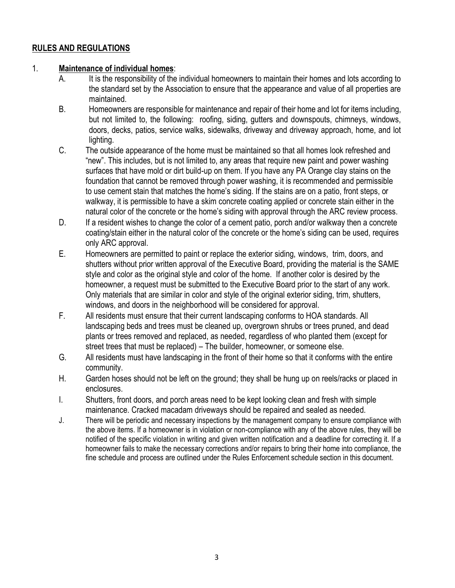### **RULES AND REGULATIONS**

#### 1. **Maintenance of individual homes**:

- A. It is the responsibility of the individual homeowners to maintain their homes and lots according to the standard set by the Association to ensure that the appearance and value of all properties are maintained.
- B. Homeowners are responsible for maintenance and repair of their home and lot for items including, but not limited to, the following: roofing, siding, gutters and downspouts, chimneys, windows, doors, decks, patios, service walks, sidewalks, driveway and driveway approach, home, and lot lighting.
- C. The outside appearance of the home must be maintained so that all homes look refreshed and "new". This includes, but is not limited to, any areas that require new paint and power washing surfaces that have mold or dirt build-up on them. If you have any PA Orange clay stains on the foundation that cannot be removed through power washing, it is recommended and permissible to use cement stain that matches the home's siding. If the stains are on a patio, front steps, or walkway, it is permissible to have a skim concrete coating applied or concrete stain either in the natural color of the concrete or the home's siding with approval through the ARC review process.
- D. If a resident wishes to change the color of a cement patio, porch and/or walkway then a concrete coating/stain either in the natural color of the concrete or the home's siding can be used, requires only ARC approval.
- E. Homeowners are permitted to paint or replace the exterior siding, windows, trim, doors, and shutters without prior written approval of the Executive Board, providing the material is the SAME style and color as the original style and color of the home. If another color is desired by the homeowner, a request must be submitted to the Executive Board prior to the start of any work. Only materials that are similar in color and style of the original exterior siding, trim, shutters, windows, and doors in the neighborhood will be considered for approval.
- F. All residents must ensure that their current landscaping conforms to HOA standards. All landscaping beds and trees must be cleaned up, overgrown shrubs or trees pruned, and dead plants or trees removed and replaced, as needed, regardless of who planted them (except for street trees that must be replaced) – The builder, homeowner, or someone else.
- G. All residents must have landscaping in the front of their home so that it conforms with the entire community.
- H. Garden hoses should not be left on the ground; they shall be hung up on reels/racks or placed in enclosures.
- I. Shutters, front doors, and porch areas need to be kept looking clean and fresh with simple maintenance. Cracked macadam driveways should be repaired and sealed as needed.
- J. There will be periodic and necessary inspections by the management company to ensure compliance with the above items. If a homeowner is in violation or non-compliance with any of the above rules, they will be notified of the specific violation in writing and given written notification and a deadline for correcting it. If a homeowner fails to make the necessary corrections and/or repairs to bring their home into compliance, the fine schedule and process are outlined under the Rules Enforcement schedule section in this document.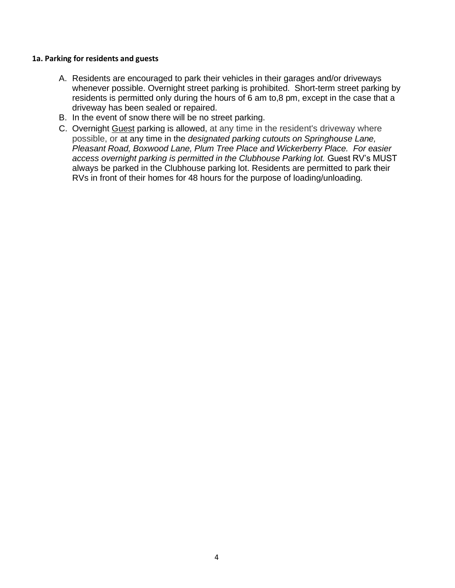#### **1a. Parking for residents and guests**

- A. Residents are encouraged to park their vehicles in their garages and/or driveways whenever possible. Overnight street parking is prohibited. Short-term street parking by residents is permitted only during the hours of 6 am to,8 pm, except in the case that a driveway has been sealed or repaired.
- B. In the event of snow there will be no street parking.
- C. Overnight Guest parking is allowed, at any time in the resident's driveway where possible, or at any time in the *designated parking cutouts on Springhouse Lane, Pleasant Road, Boxwood Lane, Plum Tree Place and Wickerberry Place. For easier*  access overnight parking is permitted in the Clubhouse Parking lot. Guest RV's MUST always be parked in the Clubhouse parking lot. Residents are permitted to park their RVs in front of their homes for 48 hours for the purpose of loading/unloading.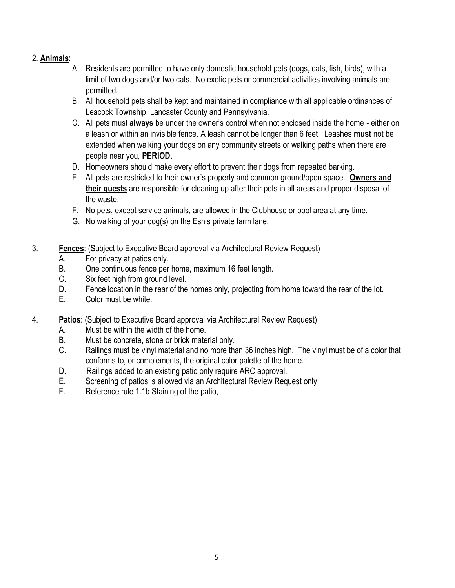- 2. **Animals**:
	- A. Residents are permitted to have only domestic household pets (dogs, cats, fish, birds), with a limit of two dogs and/or two cats. No exotic pets or commercial activities involving animals are permitted.
	- B. All household pets shall be kept and maintained in compliance with all applicable ordinances of Leacock Township, Lancaster County and Pennsylvania.
	- C. All pets must **always** be under the owner's control when not enclosed inside the home either on a leash or within an invisible fence. A leash cannot be longer than 6 feet. Leashes **must** not be extended when walking your dogs on any community streets or walking paths when there are people near you, **PERIOD.**
	- D. Homeowners should make every effort to prevent their dogs from repeated barking.
	- E. All pets are restricted to their owner's property and common ground/open space. **Owners and their guests** are responsible for cleaning up after their pets in all areas and proper disposal of the waste.
	- F. No pets, except service animals, are allowed in the Clubhouse or pool area at any time.
	- G. No walking of your dog(s) on the Esh's private farm lane.
- 3. **Fences**: (Subject to Executive Board approval via Architectural Review Request)
	- A. For privacy at patios only.
	- B. One continuous fence per home, maximum 16 feet length.<br>C. Six feet high from ground level.
	- Six feet high from ground level.
	- D. Fence location in the rear of the homes only, projecting from home toward the rear of the lot.
	- E. Color must be white.
- 4. **Patios**: (Subject to Executive Board approval via Architectural Review Request)
	- A. Must be within the width of the home.
	- B. Must be concrete, stone or brick material only.
	- C. Railings must be vinyl material and no more than 36 inches high. The vinyl must be of a color that conforms to, or complements, the original color palette of the home.
	- D. Railings added to an existing patio only require ARC approval.
	- E. Screening of patios is allowed via an Architectural Review Request only
	- F. Reference rule 1.1b Staining of the patio,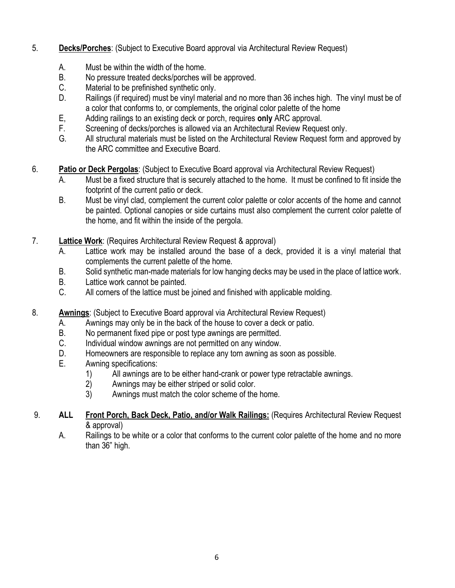- 5. **Decks/Porches**: (Subject to Executive Board approval via Architectural Review Request)
	- A. Must be within the width of the home.
	- B. No pressure treated decks/porches will be approved.
	- C. Material to be prefinished synthetic only.
	- D. Railings (if required) must be vinyl material and no more than 36 inches high. The vinyl must be of a color that conforms to, or complements, the original color palette of the home
	- E, Adding railings to an existing deck or porch, requires **only** ARC approval.
	- F. Screening of decks/porches is allowed via an Architectural Review Request only.
	- G. All structural materials must be listed on the Architectural Review Request form and approved by the ARC committee and Executive Board.
- 6. **Patio or Deck Pergolas**: (Subject to Executive Board approval via Architectural Review Request)
	- A. Must be a fixed structure that is securely attached to the home. It must be confined to fit inside the footprint of the current patio or deck.
	- B. Must be vinyl clad, complement the current color palette or color accents of the home and cannot be painted. Optional canopies or side curtains must also complement the current color palette of the home, and fit within the inside of the pergola.
- 7. **Lattice Work**: (Requires Architectural Review Request & approval)
	- A. Lattice work may be installed around the base of a deck, provided it is a vinyl material that complements the current palette of the home.
	- B. Solid synthetic man-made materials for low hanging decks may be used in the place of lattice work.
	- B. Lattice work cannot be painted.
	- C. All corners of the lattice must be joined and finished with applicable molding.
- 8. **Awnings**: (Subject to Executive Board approval via Architectural Review Request)
	- A. Awnings may only be in the back of the house to cover a deck or patio.
	- B. No permanent fixed pipe or post type awnings are permitted.
	- C. Individual window awnings are not permitted on any window.
	- D. Homeowners are responsible to replace any torn awning as soon as possible.
	- E. Awning specifications:
		- 1) All awnings are to be either hand-crank or power type retractable awnings.
		- 2) Awnings may be either striped or solid color.
		- 3) Awnings must match the color scheme of the home.
- 9. **ALL Front Porch, Back Deck, Patio, and/or Walk Railings:** (Requires Architectural Review Request & approval)
	- A. Railings to be white or a color that conforms to the current color palette of the home and no more than 36" high.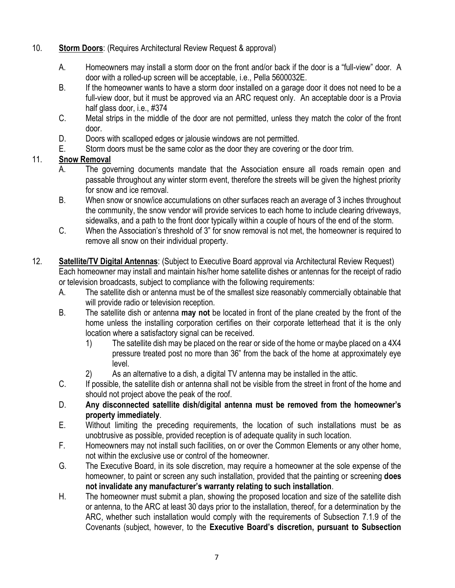- 10. **Storm Doors**: (Requires Architectural Review Request & approval)
	- A. Homeowners may install a storm door on the front and/or back if the door is a "full-view" door. A door with a rolled-up screen will be acceptable, i.e., Pella 5600032E.
	- B. If the homeowner wants to have a storm door installed on a garage door it does not need to be a full-view door, but it must be approved via an ARC request only. An acceptable door is a Provia half glass door, i.e., #374
	- C. Metal strips in the middle of the door are not permitted, unless they match the color of the front door.
	- D. Doors with scalloped edges or jalousie windows are not permitted.
	- E. Storm doors must be the same color as the door they are covering or the door trim.

## 11. **Snow Removal**

- A. The governing documents mandate that the Association ensure all roads remain open and passable throughout any winter storm event, therefore the streets will be given the highest priority for snow and ice removal.
- B. When snow or snow/ice accumulations on other surfaces reach an average of 3 inches throughout the community, the snow vendor will provide services to each home to include clearing driveways, sidewalks, and a path to the front door typically within a couple of hours of the end of the storm.
- C. When the Association's threshold of 3" for snow removal is not met, the homeowner is required to remove all snow on their individual property.
- 12. **Satellite/TV Digital Antennas**: (Subject to Executive Board approval via Architectural Review Request) Each homeowner may install and maintain his/her home satellite dishes or antennas for the receipt of radio or television broadcasts, subject to compliance with the following requirements:
	- A. The satellite dish or antenna must be of the smallest size reasonably commercially obtainable that will provide radio or television reception.
	- B. The satellite dish or antenna **may not** be located in front of the plane created by the front of the home unless the installing corporation certifies on their corporate letterhead that it is the only location where a satisfactory signal can be received.
		- 1) The satellite dish may be placed on the rear or side of the home or maybe placed on a 4X4 pressure treated post no more than 36" from the back of the home at approximately eye level.
		- 2) As an alternative to a dish, a digital TV antenna may be installed in the attic.
	- C. If possible, the satellite dish or antenna shall not be visible from the street in front of the home and should not project above the peak of the roof.
	- D. **Any disconnected satellite dish/digital antenna must be removed from the homeowner's property immediately**.
	- E. Without limiting the preceding requirements, the location of such installations must be as unobtrusive as possible, provided reception is of adequate quality in such location.
	- F. Homeowners may not install such facilities, on or over the Common Elements or any other home, not within the exclusive use or control of the homeowner.
	- G. The Executive Board, in its sole discretion, may require a homeowner at the sole expense of the homeowner, to paint or screen any such installation, provided that the painting or screening **does not invalidate any manufacturer's warranty relating to such installation**.
	- H. The homeowner must submit a plan, showing the proposed location and size of the satellite dish or antenna, to the ARC at least 30 days prior to the installation, thereof, for a determination by the ARC, whether such installation would comply with the requirements of Subsection 7.1.9 of the Covenants (subject, however, to the **Executive Board's discretion, pursuant to Subsection**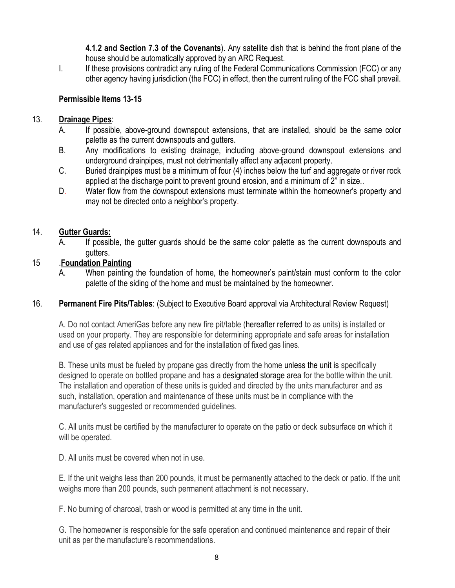**4.1.2 and Section 7.3 of the Covenants**). Any satellite dish that is behind the front plane of the house should be automatically approved by an ARC Request.

I. If these provisions contradict any ruling of the Federal Communications Commission (FCC) or any other agency having jurisdiction (the FCC) in effect, then the current ruling of the FCC shall prevail.

### **Permissible Items 13-15**

### 13. **Drainage Pipes**:

- A. If possible, above-ground downspout extensions, that are installed, should be the same color palette as the current downspouts and gutters.
- B. Any modifications to existing drainage, including above-ground downspout extensions and underground drainpipes, must not detrimentally affect any adjacent property.
- C. Buried drainpipes must be a minimum of four (4) inches below the turf and aggregate or river rock applied at the discharge point to prevent ground erosion, and a minimum of 2" in size..
- D. Water flow from the downspout extensions must terminate within the homeowner's property and may not be directed onto a neighbor's property.

### 14. **Gutter Guards:**

A. If possible, the gutter guards should be the same color palette as the current downspouts and gutters.

### 15 .**Foundation Painting**

A. When painting the foundation of home, the homeowner's paint/stain must conform to the color palette of the siding of the home and must be maintained by the homeowner.

### 16. **Permanent Fire Pits/Tables**: (Subject to Executive Board approval via Architectural Review Request)

A. Do not contact AmeriGas before any new fire pit/table (hereafter referred to as units) is installed or used on your property. They are responsible for determining appropriate and safe areas for installation and use of gas related appliances and for the installation of fixed gas lines.

B. These units must be fueled by propane gas directly from the home unless the unit is specifically designed to operate on bottled propane and has a designated storage area for the bottle within the unit. The installation and operation of these units is guided and directed by the units manufacturer and as such, installation, operation and maintenance of these units must be in compliance with the manufacturer's suggested or recommended guidelines.

C. All units must be certified by the manufacturer to operate on the patio or deck subsurface on which it will be operated.

D. All units must be covered when not in use.

E. If the unit weighs less than 200 pounds, it must be permanently attached to the deck or patio. If the unit weighs more than 200 pounds, such permanent attachment is not necessary.

F. No burning of charcoal, trash or wood is permitted at any time in the unit.

G. The homeowner is responsible for the safe operation and continued maintenance and repair of their unit as per the manufacture's recommendations.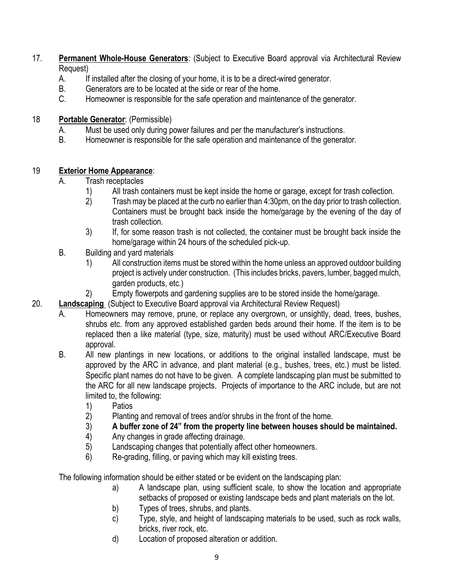- 17. **Permanent Whole-House Generators**: (Subject to Executive Board approval via Architectural Review Request)
	- A. If installed after the closing of your home, it is to be a direct-wired generator.
	- B. Generators are to be located at the side or rear of the home.
	- C. Homeowner is responsible for the safe operation and maintenance of the generator.

### 18 **Portable Generator**: (Permissible)

- A. Must be used only during power failures and per the manufacturer's instructions.
- B. Homeowner is responsible for the safe operation and maintenance of the generator.

## 19 **Exterior Home Appearance**:

- A. Trash receptacles
	- 1) All trash containers must be kept inside the home or garage, except for trash collection.
	- 2) Trash may be placed at the curb no earlier than 4:30pm, on the day prior to trash collection. Containers must be brought back inside the home/garage by the evening of the day of trash collection.
	- 3) If, for some reason trash is not collected, the container must be brought back inside the home/garage within 24 hours of the scheduled pick-up.
- B. Building and yard materials
	- 1) All construction items must be stored within the home unless an approved outdoor building project is actively under construction. (This includes bricks, pavers, lumber, bagged mulch, garden products, etc.)
	- 2) Empty flowerpots and gardening supplies are to be stored inside the home/garage.
- 20. **Landscaping** (Subject to Executive Board approval via Architectural Review Request)
	- A. Homeowners may remove, prune, or replace any overgrown, or unsightly, dead, trees, bushes, shrubs etc. from any approved established garden beds around their home. If the item is to be replaced then a like material (type, size, maturity) must be used without ARC/Executive Board approval.
	- B. All new plantings in new locations, or additions to the original installed landscape, must be approved by the ARC in advance, and plant material (e.g., bushes, trees, etc.) must be listed. Specific plant names do not have to be given. A complete landscaping plan must be submitted to the ARC for all new landscape projects. Projects of importance to the ARC include, but are not limited to, the following:
		- 1) Patios
		- 2) Planting and removal of trees and/or shrubs in the front of the home.
		- 3) **A buffer zone of 24" from the property line between houses should be maintained.**
		- 4) Any changes in grade affecting drainage.
		- 5) Landscaping changes that potentially affect other homeowners.
		- 6) Re-grading, filling, or paving which may kill existing trees.

The following information should be either stated or be evident on the landscaping plan:

- a) A landscape plan, using sufficient scale, to show the location and appropriate setbacks of proposed or existing landscape beds and plant materials on the lot.
- b) Types of trees, shrubs, and plants.
- c) Type, style, and height of landscaping materials to be used, such as rock walls, bricks, river rock, etc.
- d) Location of proposed alteration or addition.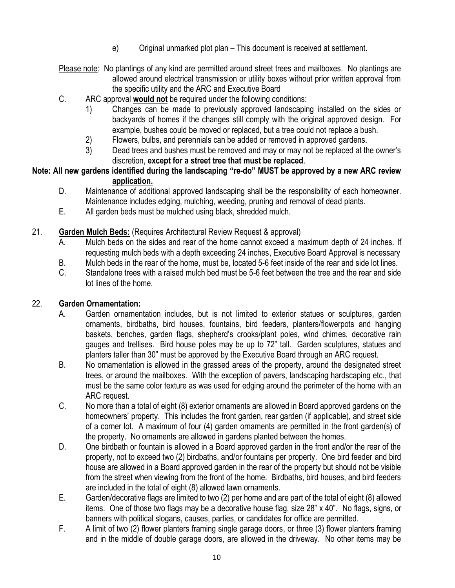- e) Original unmarked plot plan This document is received at settlement.
- Please note: No plantings of any kind are permitted around street trees and mailboxes. No plantings are allowed around electrical transmission or utility boxes without prior written approval from the specific utility and the ARC and Executive Board
- C. ARC approval **would not** be required under the following conditions:
	- 1) Changes can be made to previously approved landscaping installed on the sides or backyards of homes if the changes still comply with the original approved design. For example, bushes could be moved or replaced, but a tree could not replace a bush.
	- 2) Flowers, bulbs, and perennials can be added or removed in approved gardens.
	- 3) Dead trees and bushes must be removed and may or may not be replaced at the owner's discretion, **except for a street tree that must be replaced**.

#### **Note: All new gardens identified during the landscaping "re-do" MUST be approved by a new ARC review application.**

- D. Maintenance of additional approved landscaping shall be the responsibility of each homeowner. Maintenance includes edging, mulching, weeding, pruning and removal of dead plants.
- E. All garden beds must be mulched using black, shredded mulch.
- 21. **Garden Mulch Beds:** (Requires Architectural Review Request & approval)
	- A. Mulch beds on the sides and rear of the home cannot exceed a maximum depth of 24 inches. If requesting mulch beds with a depth exceeding 24 inches, Executive Board Approval is necessary
	- B. Mulch beds in the rear of the home, must be, located 5-6 feet inside of the rear and side lot lines.
	- C. Standalone trees with a raised mulch bed must be 5-6 feet between the tree and the rear and side lot lines of the home.

### 22. **Garden Ornamentation:**

- A. Garden ornamentation includes, but is not limited to exterior statues or sculptures, garden ornaments, birdbaths, bird houses, fountains, bird feeders, planters/flowerpots and hanging baskets, benches, garden flags, shepherd's crooks/plant poles, wind chimes, decorative rain gauges and trellises. Bird house poles may be up to 72" tall. Garden sculptures, statues and planters taller than 30" must be approved by the Executive Board through an ARC request.
- B. No ornamentation is allowed in the grassed areas of the property, around the designated street trees, or around the mailboxes. With the exception of pavers, landscaping hardscaping etc., that must be the same color texture as was used for edging around the perimeter of the home with an ARC request.
- C. No more than a total of eight (8) exterior ornaments are allowed in Board approved gardens on the homeowners' property. This includes the front garden, rear garden (if applicable), and street side of a corner lot. A maximum of four (4) garden ornaments are permitted in the front garden(s) of the property. No ornaments are allowed in gardens planted between the homes.
- D. One birdbath or fountain is allowed in a Board approved garden in the front and/or the rear of the property, not to exceed two (2) birdbaths, and/or fountains per property. One bird feeder and bird house are allowed in a Board approved garden in the rear of the property but should not be visible from the street when viewing from the front of the home. Birdbaths, bird houses, and bird feeders are included in the total of eight (8) allowed lawn ornaments.
- E. Garden/decorative flags are limited to two (2) per home and are part of the total of eight (8) allowed items. One of those two flags may be a decorative house flag, size 28" x 40". No flags, signs, or banners with political slogans, causes, parties, or candidates for office are permitted.
- F. A limit of two (2) flower planters framing single garage doors, or three (3) flower planters framing and in the middle of double garage doors, are allowed in the driveway. No other items may be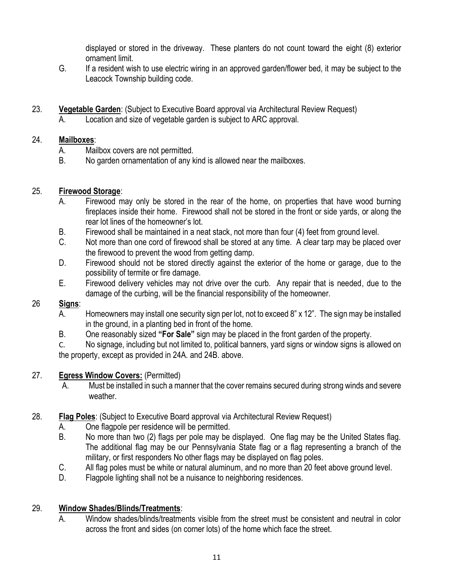displayed or stored in the driveway. These planters do not count toward the eight (8) exterior ornament limit.

- G. If a resident wish to use electric wiring in an approved garden/flower bed, it may be subject to the Leacock Township building code.
- 23. **Vegetable Garden**: (Subject to Executive Board approval via Architectural Review Request) A. Location and size of vegetable garden is subject to ARC approval.

### 24. **Mailboxes**:

- A. Mailbox covers are not permitted.
- B. No garden ornamentation of any kind is allowed near the mailboxes.

### 25. **Firewood Storage**:

- A. Firewood may only be stored in the rear of the home, on properties that have wood burning fireplaces inside their home. Firewood shall not be stored in the front or side yards, or along the rear lot lines of the homeowner's lot.
- B. Firewood shall be maintained in a neat stack, not more than four (4) feet from ground level.
- C. Not more than one cord of firewood shall be stored at any time. A clear tarp may be placed over the firewood to prevent the wood from getting damp.
- D. Firewood should not be stored directly against the exterior of the home or garage, due to the possibility of termite or fire damage.
- E. Firewood delivery vehicles may not drive over the curb. Any repair that is needed, due to the damage of the curbing, will be the financial responsibility of the homeowner.

### 26 **Signs**:

- A. Homeowners may install one security sign per lot, not to exceed 8" x 12". The sign may be installed in the ground, in a planting bed in front of the home.
- B. One reasonably sized **"For Sale"** sign may be placed in the front garden of the property.

C. No signage, including but not limited to, political banners, yard signs or window signs is allowed on the property, except as provided in 24A. and 24B. above.

#### 27. **Egress Window Covers:** (Permitted)

- A. Must be installed in such a manner that the cover remains secured during strong winds and severe weather.
- 28. **Flag Poles**: (Subject to Executive Board approval via Architectural Review Request)
	- A. One flagpole per residence will be permitted.
	- B. No more than two (2) flags per pole may be displayed. One flag may be the United States flag. The additional flag may be our Pennsylvania State flag or a flag representing a branch of the military, or first responders No other flags may be displayed on flag poles.
	- C. All flag poles must be white or natural aluminum, and no more than 20 feet above ground level.
	- D. Flagpole lighting shall not be a nuisance to neighboring residences.

### 29. **Window Shades/Blinds/Treatments**:

A. Window shades/blinds/treatments visible from the street must be consistent and neutral in color across the front and sides (on corner lots) of the home which face the street.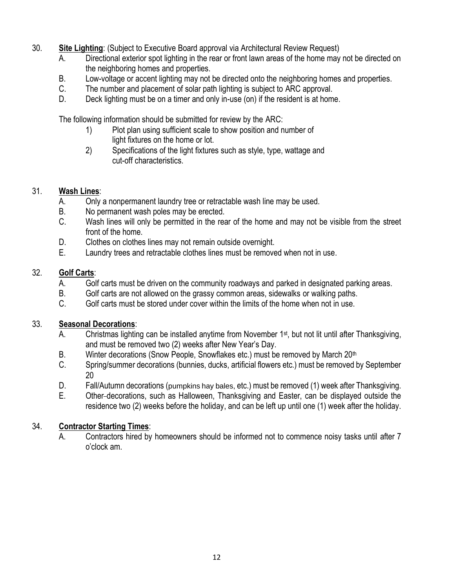- 30. **Site Lighting**: (Subject to Executive Board approval via Architectural Review Request)
	- A. Directional exterior spot lighting in the rear or front lawn areas of the home may not be directed on the neighboring homes and properties.
	- B. Low-voltage or accent lighting may not be directed onto the neighboring homes and properties.
	- C. The number and placement of solar path lighting is subject to ARC approval.
	- D. Deck lighting must be on a timer and only in-use (on) if the resident is at home.

The following information should be submitted for review by the ARC:

- 1) Plot plan using sufficient scale to show position and number of light fixtures on the home or lot.
- 2) Specifications of the light fixtures such as style, type, wattage and cut-off characteristics.

### 31. **Wash Lines**:

- A. Only a nonpermanent laundry tree or retractable wash line may be used.
- B. No permanent wash poles may be erected.
- C. Wash lines will only be permitted in the rear of the home and may not be visible from the street front of the home.
- D. Clothes on clothes lines may not remain outside overnight.
- E. Laundry trees and retractable clothes lines must be removed when not in use.

### 32. **Golf Carts**:

- A. Golf carts must be driven on the community roadways and parked in designated parking areas.
- B. Golf carts are not allowed on the grassy common areas, sidewalks or walking paths.
- C. Golf carts must be stored under cover within the limits of the home when not in use.

#### 33. **Seasonal Decorations**:

- A. Christmas lighting can be installed anytime from November 1<sup>st</sup>, but not lit until after Thanksgiving, and must be removed two (2) weeks after New Year's Day.
- B. Winter decorations (Snow People, Snowflakes etc.) must be removed by March 20<sup>th</sup>
- C. Spring/summer decorations (bunnies, ducks, artificial flowers etc.) must be removed by September 20
- D. Fall/Autumn decorations (pumpkins hay bales, etc.) must be removed (1) week after Thanksgiving.
- E. Other decorations, such as Halloween, Thanksgiving and Easter, can be displayed outside the residence two (2) weeks before the holiday, and can be left up until one (1) week after the holiday.

### 34. **Contractor Starting Times**:

A. Contractors hired by homeowners should be informed not to commence noisy tasks until after 7 o'clock am.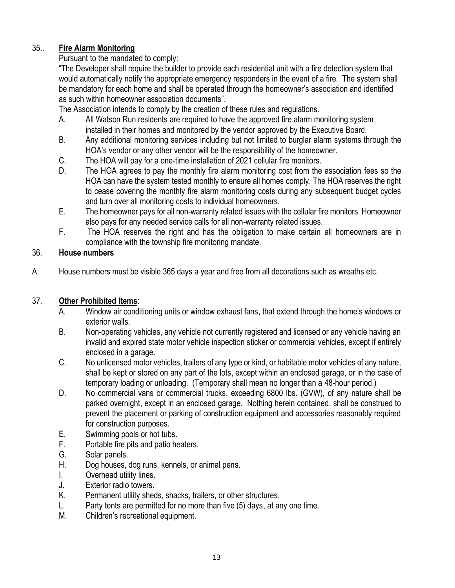## 35.. **Fire Alarm Monitoring**

### Pursuant to the mandated to comply:

"The Developer shall require the builder to provide each residential unit with a fire detection system that would automatically notify the appropriate emergency responders in the event of a fire. The system shall be mandatory for each home and shall be operated through the homeowner's association and identified as such within homeowner association documents".

The Association intends to comply by the creation of these rules and regulations.

- A. All Watson Run residents are required to have the approved fire alarm monitoring system installed in their homes and monitored by the vendor approved by the Executive Board.
- B. Any additional monitoring services including but not limited to burglar alarm systems through the HOA's vendor or any other vendor will be the responsibility of the homeowner.
- C. The HOA will pay for a one-time installation of 2021 cellular fire monitors.
- D. The HOA agrees to pay the monthly fire alarm monitoring cost from the association fees so the HOA can have the system tested monthly to ensure all homes comply. The HOA reserves the right to cease covering the monthly fire alarm monitoring costs during any subsequent budget cycles and turn over all monitoring costs to individual homeowners.
- E. The homeowner pays for all non-warranty related issues with the cellular fire monitors. Homeowner also pays for any needed service calls for all non-warranty related issues.
- F. The HOA reserves the right and has the obligation to make certain all homeowners are in compliance with the township fire monitoring mandate.

### 36. **House numbers**

A. House numbers must be visible 365 days a year and free from all decorations such as wreaths etc.

## 37. **Other Prohibited Items**:

- A. Window air conditioning units or window exhaust fans, that extend through the home's windows or exterior walls.
- B. Non-operating vehicles, any vehicle not currently registered and licensed or any vehicle having an invalid and expired state motor vehicle inspection sticker or commercial vehicles, except if entirely enclosed in a garage.
- C. No unlicensed motor vehicles, trailers of any type or kind, or habitable motor vehicles of any nature, shall be kept or stored on any part of the lots, except within an enclosed garage, or in the case of temporary loading or unloading. (Temporary shall mean no longer than a 48-hour period.)
- D. No commercial vans or commercial trucks, exceeding 6800 lbs. (GVW), of any nature shall be parked overnight, except in an enclosed garage. Nothing herein contained, shall be construed to prevent the placement or parking of construction equipment and accessories reasonably required for construction purposes.
- E. Swimming pools or hot tubs.
- F. Portable fire pits and patio heaters.
- G. Solar panels.
- H. Dog houses, dog runs, kennels, or animal pens.
- I. Overhead utility lines.
- J. Exterior radio towers.
- K. Permanent utility sheds, shacks, trailers, or other structures.
- L. Party tents are permitted for no more than five (5) days, at any one time.
- M. Children's recreational equipment.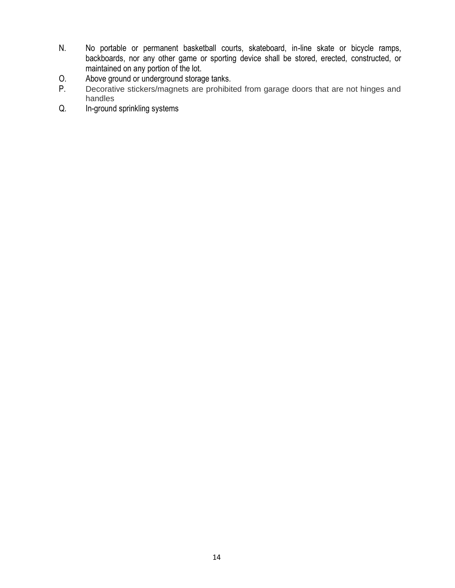- N. No portable or permanent basketball courts, skateboard, in-line skate or bicycle ramps, backboards, nor any other game or sporting device shall be stored, erected, constructed, or maintained on any portion of the lot.
- O. Above ground or underground storage tanks.<br>P. Decorative stickers/magnets are prohibited
- Decorative stickers/magnets are prohibited from garage doors that are not hinges and handles
- Q. In-ground sprinkling systems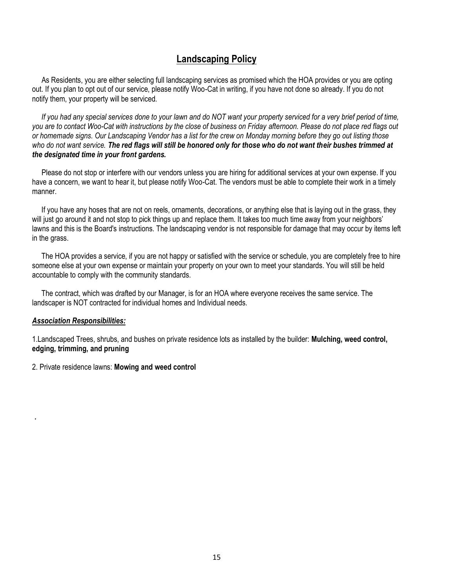## **Landscaping Policy**

As Residents, you are either selecting full landscaping services as promised which the HOA provides or you are opting out. If you plan to opt out of our service, please notify Woo-Cat in writing, if you have not done so already. If you do not notify them, your property will be serviced.

 *If you had any special services done to your lawn and do NOT want your property serviced for a very brief period of time, you are to contact Woo-Cat with instructions by the close of business on Friday afternoon. Please do not place red flags out or homemade signs. Our Landscaping Vendor has a list for the crew on Monday morning before they go out listing those who do not want service. The red flags will still be honored only for those who do not want their bushes trimmed at the designated time in your front gardens.*

Please do not stop or interfere with our vendors unless you are hiring for additional services at your own expense. If you have a concern, we want to hear it, but please notify Woo-Cat. The vendors must be able to complete their work in a timely manner.

If you have any hoses that are not on reels, ornaments, decorations, or anything else that is laying out in the grass, they will just go around it and not stop to pick things up and replace them. It takes too much time away from your neighbors' lawns and this is the Board's instructions. The landscaping vendor is not responsible for damage that may occur by items left in the grass.

The HOA provides a service, if you are not happy or satisfied with the service or schedule, you are completely free to hire someone else at your own expense or maintain your property on your own to meet your standards. You will still be held accountable to comply with the community standards.

The contract, which was drafted by our Manager, is for an HOA where everyone receives the same service. The landscaper is NOT contracted for individual homes and Individual needs.

#### *Association Responsibilities:*

*.*

1.Landscaped Trees, shrubs, and bushes on private residence lots as installed by the builder: **Mulching, weed control, edging, trimming, and pruning**

#### 2. Private residence lawns: **Mowing and weed control**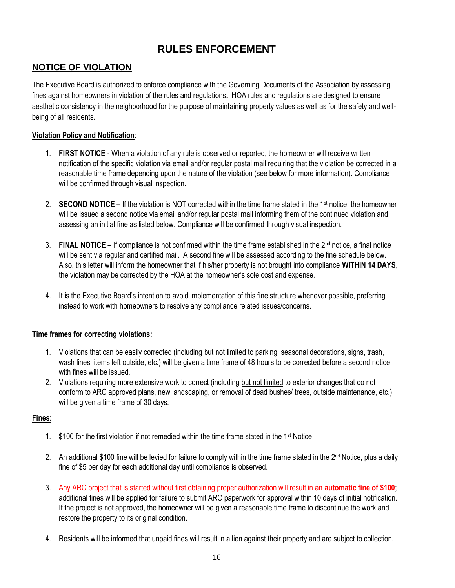# **RULES ENFORCEMENT**

## **NOTICE OF VIOLATION**

The Executive Board is authorized to enforce compliance with the Governing Documents of the Association by assessing fines against homeowners in violation of the rules and regulations. HOA rules and regulations are designed to ensure aesthetic consistency in the neighborhood for the purpose of maintaining property values as well as for the safety and wellbeing of all residents.

#### **Violation Policy and Notification**:

- 1. **FIRST NOTICE** When a violation of any rule is observed or reported, the homeowner will receive written notification of the specific violation via email and/or regular postal mail requiring that the violation be corrected in a reasonable time frame depending upon the nature of the violation (see below for more information). Compliance will be confirmed through visual inspection.
- 2. **SECOND NOTICE –** If the violation is NOT corrected within the time frame stated in the 1st notice, the homeowner will be issued a second notice via email and/or regular postal mail informing them of the continued violation and assessing an initial fine as listed below. Compliance will be confirmed through visual inspection.
- 3. **FINAL NOTICE** If compliance is not confirmed within the time frame established in the  $2<sup>nd</sup>$  notice, a final notice will be sent via regular and certified mail. A second fine will be assessed according to the fine schedule below. Also, this letter will inform the homeowner that if his/her property is not brought into compliance **WITHIN 14 DAYS**, the violation may be corrected by the HOA at the homeowner's sole cost and expense.
- 4. It is the Executive Board's intention to avoid implementation of this fine structure whenever possible, preferring instead to work with homeowners to resolve any compliance related issues/concerns.

#### **Time frames for correcting violations:**

- 1. Violations that can be easily corrected (including but not limited to parking, seasonal decorations, signs, trash, wash lines, items left outside, etc.) will be given a time frame of 48 hours to be corrected before a second notice with fines will be issued.
- 2. Violations requiring more extensive work to correct (including but not limited to exterior changes that do not conform to ARC approved plans, new landscaping, or removal of dead bushes/ trees, outside maintenance, etc.) will be given a time frame of 30 days.

#### **Fines**:

- 1.  $$100$  for the first violation if not remedied within the time frame stated in the 1<sup>st</sup> Notice
- 2. An additional \$100 fine will be levied for failure to comply within the time frame stated in the 2<sup>nd</sup> Notice, plus a daily fine of \$5 per day for each additional day until compliance is observed.
- 3. Any ARC project that is started without first obtaining proper authorization will result in an **automatic fine of \$100**; additional fines will be applied for failure to submit ARC paperwork for approval within 10 days of initial notification. If the project is not approved, the homeowner will be given a reasonable time frame to discontinue the work and restore the property to its original condition.
- 4. Residents will be informed that unpaid fines will result in a lien against their property and are subject to collection.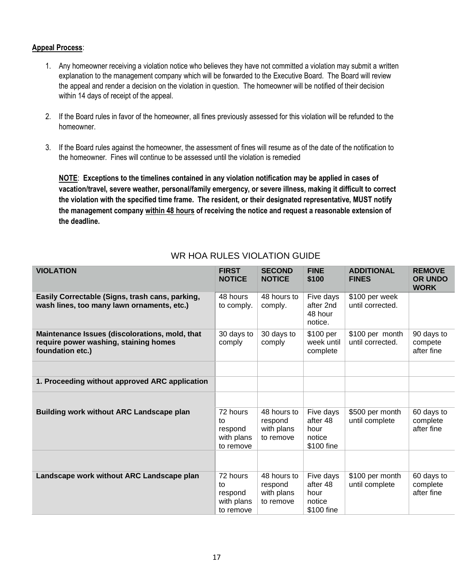#### **Appeal Process**:

- 1. Any homeowner receiving a violation notice who believes they have not committed a violation may submit a written explanation to the management company which will be forwarded to the Executive Board. The Board will review the appeal and render a decision on the violation in question. The homeowner will be notified of their decision within 14 days of receipt of the appeal.
- 2. If the Board rules in favor of the homeowner, all fines previously assessed for this violation will be refunded to the homeowner.
- 3. If the Board rules against the homeowner, the assessment of fines will resume as of the date of the notification to the homeowner. Fines will continue to be assessed until the violation is remedied

**NOTE**: **Exceptions to the timelines contained in any violation notification may be applied in cases of vacation/travel, severe weather, personal/family emergency, or severe illness, making it difficult to correct the violation with the specified time frame. The resident, or their designated representative, MUST notify the management company within 48 hours of receiving the notice and request a reasonable extension of the deadline.**

| <b>VIOLATION</b>                                                                                            | <b>FIRST</b><br><b>NOTICE</b>                        | <b>SECOND</b><br><b>NOTICE</b>                    | <b>FINE</b><br>\$100                                  | <b>ADDITIONAL</b><br><b>FINES</b>   | <b>REMOVE</b><br><b>OR UNDO</b><br><b>WORK</b> |
|-------------------------------------------------------------------------------------------------------------|------------------------------------------------------|---------------------------------------------------|-------------------------------------------------------|-------------------------------------|------------------------------------------------|
| Easily Correctable (Signs, trash cans, parking,<br>wash lines, too many lawn ornaments, etc.)               | 48 hours<br>to comply.                               | 48 hours to<br>comply.                            | Five days<br>after 2nd<br>48 hour<br>notice.          | \$100 per week<br>until corrected.  |                                                |
| Maintenance Issues (discolorations, mold, that<br>require power washing, staining homes<br>foundation etc.) | 30 days to<br>comply                                 | 30 days to<br>comply                              | \$100 per<br>week until<br>complete                   | \$100 per month<br>until corrected. | 90 days to<br>compete<br>after fine            |
|                                                                                                             |                                                      |                                                   |                                                       |                                     |                                                |
| 1. Proceeding without approved ARC application                                                              |                                                      |                                                   |                                                       |                                     |                                                |
|                                                                                                             |                                                      |                                                   |                                                       |                                     |                                                |
| <b>Building work without ARC Landscape plan</b>                                                             | 72 hours<br>to<br>respond<br>with plans<br>to remove | 48 hours to<br>respond<br>with plans<br>to remove | Five days<br>after 48<br>hour<br>notice<br>\$100 fine | \$500 per month<br>until complete   | 60 days to<br>complete<br>after fine           |
|                                                                                                             |                                                      |                                                   |                                                       |                                     |                                                |
| Landscape work without ARC Landscape plan                                                                   | 72 hours<br>to<br>respond<br>with plans<br>to remove | 48 hours to<br>respond<br>with plans<br>to remove | Five days<br>after 48<br>hour<br>notice<br>\$100 fine | \$100 per month<br>until complete   | 60 days to<br>complete<br>after fine           |

## WR HOA RULES VIOLATION GUIDE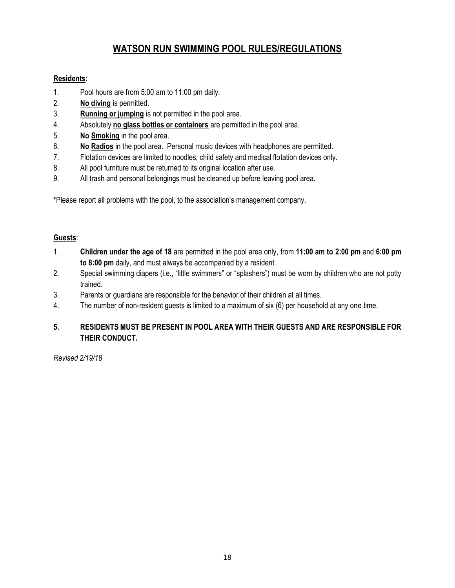# **WATSON RUN SWIMMING POOL RULES/REGULATIONS**

#### **Residents**:

- 1. Pool hours are from 5:00 am to 11:00 pm daily.
- 2. **No diving** is permitted.
- 3. **Running or jumping** is not permitted in the pool area.
- 4. Absolutely **no glass bottles or containers** are permitted in the pool area.
- 5. **No Smoking** in the pool area.
- 6. **No Radios** in the pool area. Personal music devices with headphones are permitted.
- 7. Flotation devices are limited to noodles, child safety and medical flotation devices only.
- 8. All pool furniture must be returned to its original location after use.
- 9. All trash and personal belongings must be cleaned up before leaving pool area.

**\***Please report all problems with the pool, to the association's management company.

#### **Guests**:

- 1. **Children under the age of 18** are permitted in the pool area only, from **11:00 am to 2:00 pm** and **6:00 pm to 8:00 pm** daily, and must always be accompanied by a resident.
- 2. Special swimming diapers (i.e., "little swimmers" or "splashers") must be worn by children who are not potty trained.
- 3. Parents or guardians are responsible for the behavior of their children at all times.
- 4. The number of non-resident guests is limited to a maximum of six (6) per household at any one time.

#### **5. RESIDENTS MUST BE PRESENT IN POOL AREA WITH THEIR GUESTS AND ARE RESPONSIBLE FOR THEIR CONDUCT.**

*Revised 2/19/18*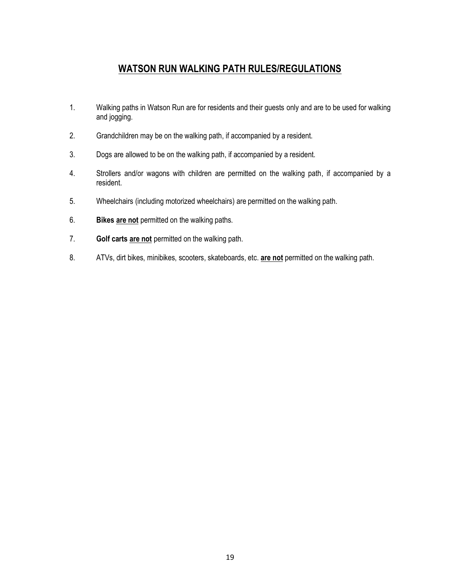# **WATSON RUN WALKING PATH RULES/REGULATIONS**

- 1. Walking paths in Watson Run are for residents and their guests only and are to be used for walking and jogging.
- 2. Grandchildren may be on the walking path, if accompanied by a resident.
- 3. Dogs are allowed to be on the walking path, if accompanied by a resident.
- 4. Strollers and/or wagons with children are permitted on the walking path, if accompanied by a resident.
- 5. Wheelchairs (including motorized wheelchairs) are permitted on the walking path.
- 6. **Bikes are not** permitted on the walking paths.
- 7. **Golf carts are not** permitted on the walking path.
- 8. ATVs, dirt bikes, minibikes, scooters, skateboards, etc. **are not** permitted on the walking path.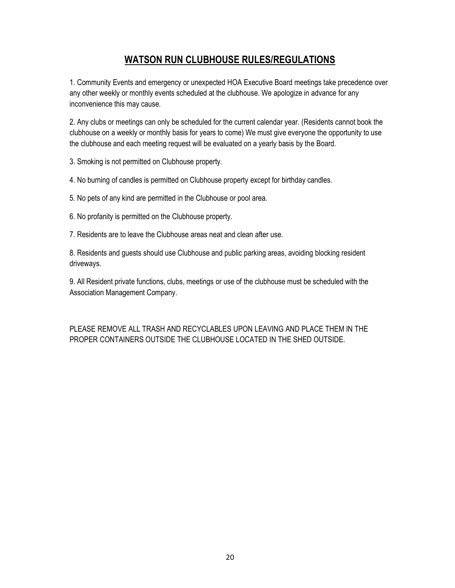## **WATSON RUN CLUBHOUSE RULES/REGULATIONS**

1. Community Events and emergency or unexpected HOA Executive Board meetings take precedence over any other weekly or monthly events scheduled at the clubhouse. We apologize in advance for any inconvenience this may cause.

2. Any clubs or meetings can only be scheduled for the current calendar year. (Residents cannot book the clubhouse on a weekly or monthly basis for years to come) We must give everyone the opportunity to use the clubhouse and each meeting request will be evaluated on a yearly basis by the Board.

3. Smoking is not permitted on Clubhouse property.

4. No burning of candles is permitted on Clubhouse property except for birthday candles.

5. No pets of any kind are permitted in the Clubhouse or pool area.

6. No profanity is permitted on the Clubhouse property.

7. Residents are to leave the Clubhouse areas neat and clean after use.

8. Residents and guests should use Clubhouse and public parking areas, avoiding blocking resident driveways.

9. All Resident private functions, clubs, meetings or use of the clubhouse must be scheduled with the Association Management Company.

PLEASE REMOVE ALL TRASH AND RECYCLABLES UPON LEAVING AND PLACE THEM IN THE PROPER CONTAINERS OUTSIDE THE CLUBHOUSE LOCATED IN THE SHED OUTSIDE.